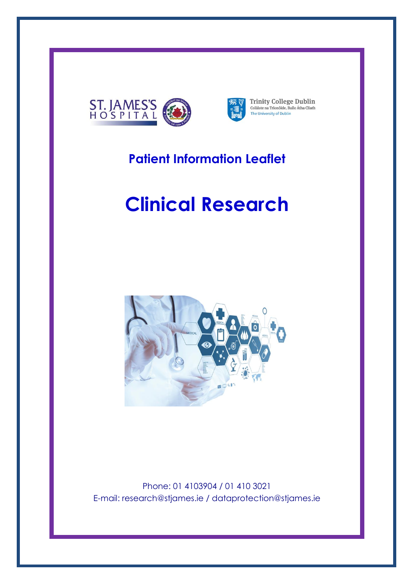



**Trinity College Dublin**<br>Coláiste na Tríonóide, Baile Átha Cliath<br>The University of Dublin

# **Patient Information Leaflet**

# **Clinical Research**



Phone: 01 4103904 / 01 410 3021 E-mail: research@stjames.ie / dataprotection@stjames.ie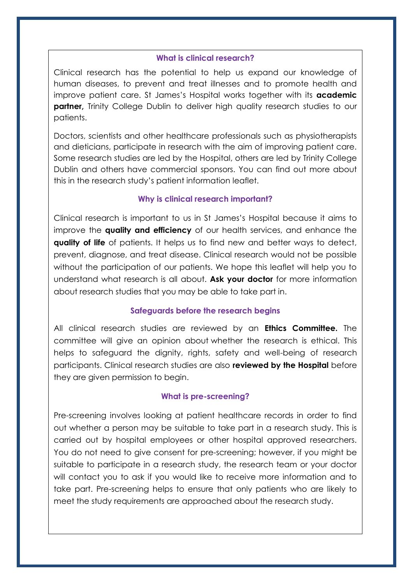#### **What is clinical research?**

Clinical research has the potential to help us expand our knowledge of human diseases, to prevent and treat illnesses and to promote health and improve patient care. St James's Hospital works together with its **academic partner,** Trinity College Dublin to deliver high quality research studies to our patients.

Doctors, scientists and other healthcare professionals such as physiotherapists and dieticians, participate in research with the aim of improving patient care. Some research studies are led by the Hospital, others are led by Trinity College Dublin and others have commercial sponsors. You can find out more about this in the research study's patient information leaflet.

#### **Why is clinical research important?**

Clinical research is important to us in St James's Hospital because it aims to improve the **quality and efficiency** of our health services, and enhance the **quality of life** of patients. It helps us to find new and better ways to detect, prevent, diagnose, and treat disease. Clinical research would not be possible without the participation of our patients. We hope this leaflet will help you to understand what research is all about. **Ask your doctor** for more information about research studies that you may be able to take part in.

#### **Safeguards before the research begins**

All clinical research studies are reviewed by an **Ethics Committee.** The committee will give an opinion about whether the research is ethical. This helps to safeguard the dignity, rights, safety and well-being of research participants. Clinical research studies are also **reviewed by the Hospital** before they are given permission to begin.

#### **What is pre-screening?**

Pre-screening involves looking at patient healthcare records in order to find out whether a person may be suitable to take part in a research study. This is carried out by hospital employees or other hospital approved researchers. You do not need to give consent for pre-screening; however, if you might be suitable to participate in a research study, the research team or your doctor will contact you to ask if you would like to receive more information and to take part. Pre-screening helps to ensure that only patients who are likely to meet the study requirements are approached about the research study.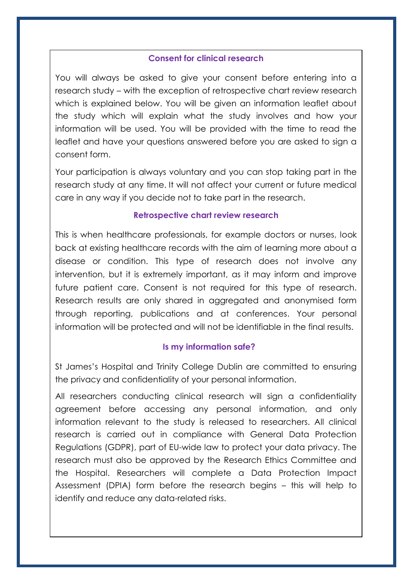#### **Consent for clinical research**

You will always be asked to give your consent before entering into a research study – with the exception of retrospective chart review research which is explained below. You will be given an information leaflet about the study which will explain what the study involves and how your information will be used. You will be provided with the time to read the leaflet and have your questions answered before you are asked to sign a consent form.

Your participation is always voluntary and you can stop taking part in the research study at any time. It will not affect your current or future medical care in any way if you decide not to take part in the research.

### **Retrospective chart review research**

This is when healthcare professionals, for example doctors or nurses, look back at existing healthcare records with the aim of learning more about a disease or condition. This type of research does not involve any intervention, but it is extremely important, as it may inform and improve future patient care. Consent is not required for this type of research. Research results are only shared in aggregated and anonymised form through reporting, publications and at conferences. Your personal information will be protected and will not be identifiable in the final results.

### **Is my information safe?**

St James's Hospital and Trinity College Dublin are committed to ensuring the privacy and confidentiality of your personal information.

All researchers conducting clinical research will sign a confidentiality agreement before accessing any personal information, and only information relevant to the study is released to researchers. All clinical research is carried out in compliance with General Data Protection Regulations (GDPR), part of EU-wide law to protect your data privacy. The research must also be approved by the Research Ethics Committee and the Hospital. Researchers will complete a Data Protection Impact Assessment (DPIA) form before the research begins – this will help to identify and reduce any data-related risks.